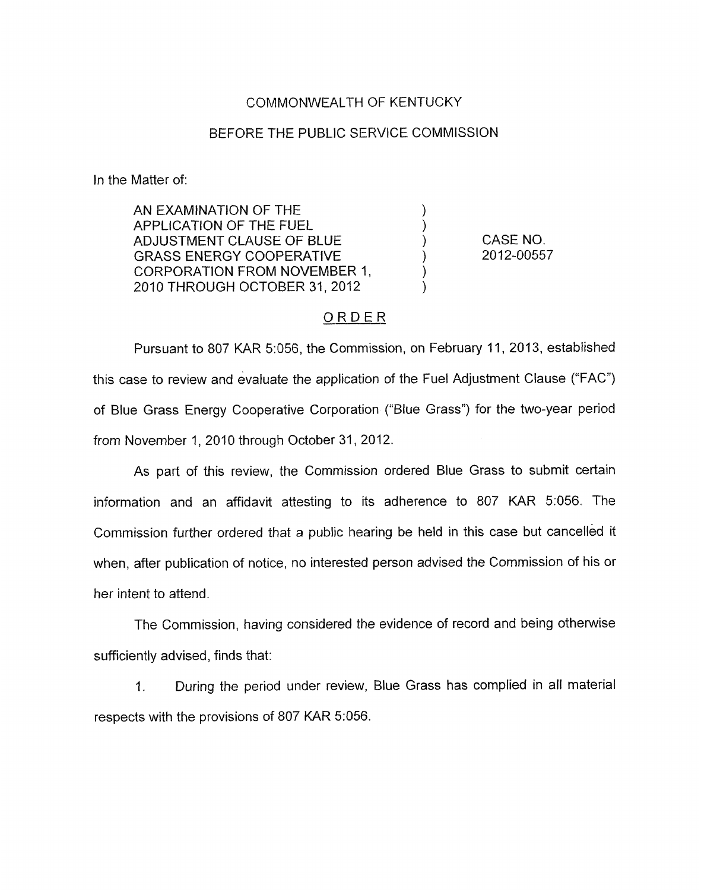## COMMONWEALTH OF KENTUCKY

## BEFORE THE PUBLIC SERVICE COMMISSION

In the Matter of:

AN EXAMINATION OF THE APPLICATION OF THE FUEL (1)<br>ADJUSTMENT CLAUSE OF BLUE (1) ADJUSTMENT CLAUSE OF BLUE ) GRASS ENERGY COOPERATIVE (2012-00557 CORPORATION FROM NOVEMBER 1, 2010 THROUGH OCTOBER 31,2012 )

CASE NO.

## ORDER

Pursuant to 807 KAR 5:056, the Commission, on February 11, 2013, established this case to review and evaluate the application of the Fuel Adjustment Clause ("FAC") of Blue Grass Energy Cooperative Corporation ("Blue Grass") for the two-year period from November 1, 2010 through October 31, 2012.

As part of this review, the Commission ordered Blue Grass to submit certain information and an affidavit attesting to its adherence to 807 KAR 5:056. The Commission further ordered that a public hearing be held in this case but cancelled it when, after publication of notice, no interested person advised the Commission of his or her intent to attend.

The Commission, having considered the evidence of record and being otherwise sufficiently advised, finds that:

1. During the period under review, Blue Grass has complied in all material respects with the provisions of 807 KAR 5:056.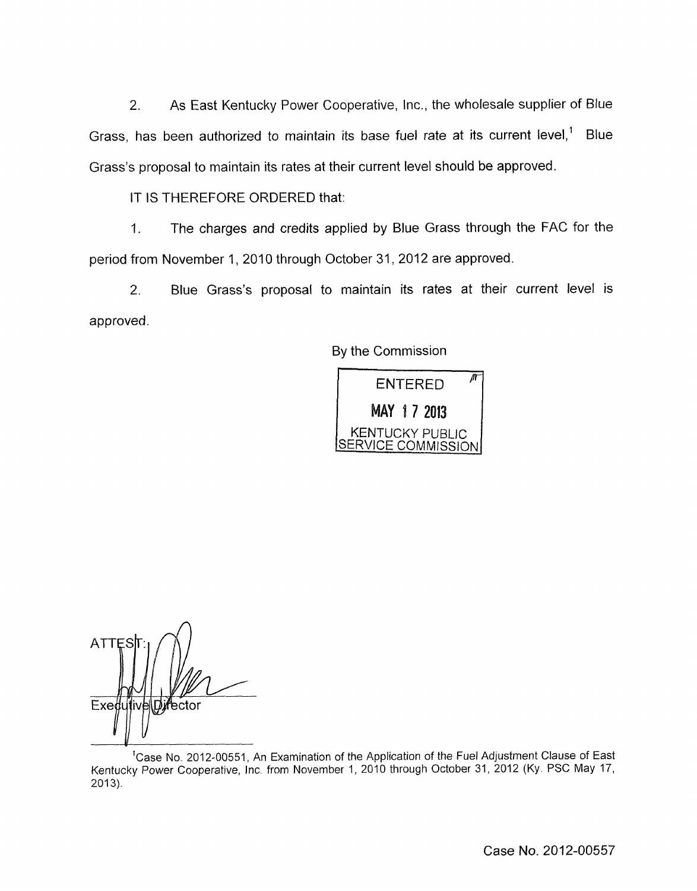*2.* As East Kentucky Power Cooperative, Inc., the wholesale supplier of Blue Grass, has been authorized to maintain its base fuel rate at its current level,' Blue Grass's proposal to maintain its rates at their current level should be approved.

## IT IS THEREFORE ORDERED that:

1. The charges and credits applied by Blue Grass through the FAC for the period from November 1, 2010 through October 31,2012 are approved.

*2.* Blue Grass's proposal to maintain its rates at their current level is approved.

By the Commission



**ATTES** Exedu Director

<sup>1</sup>Case No. 2012-00551, An Examination of the Application of the Fuel Adjustment Clause of East Kentucky Power Cooperative, Inc from November 1, 2010 through October 31, 2012 (Ky PSC May 17,  $2013$ ).